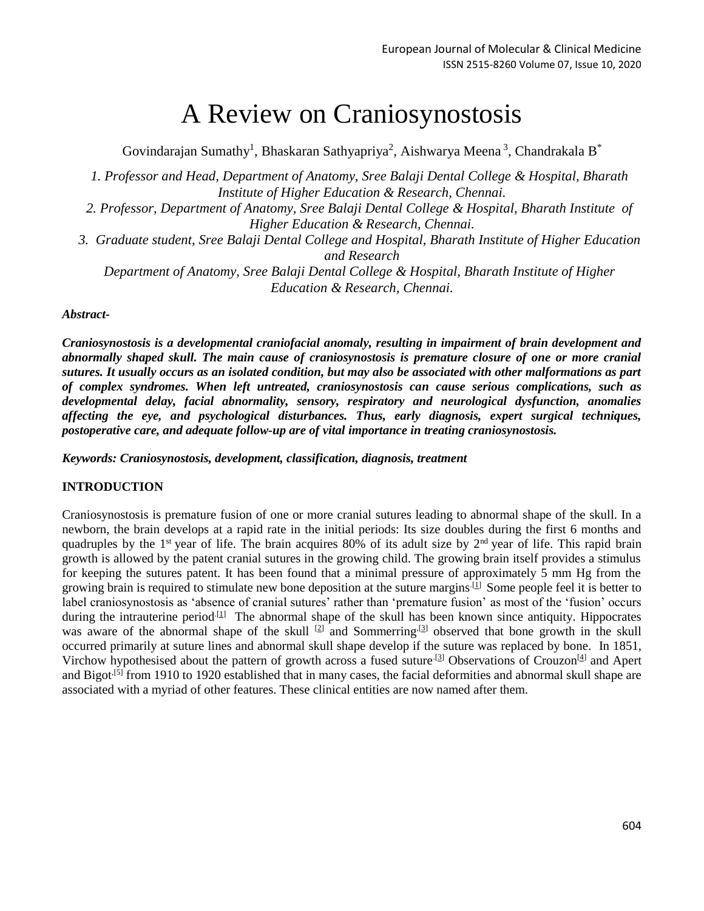# A Review on Craniosynostosis

Govindarajan Sumathy<sup>1</sup>, Bhaskaran Sathyapriya<sup>2</sup>, Aishwarya Meena<sup>3</sup>, Chandrakala B<sup>\*</sup>

*1. Professor and Head, Department of Anatomy, Sree Balaji Dental College & Hospital, Bharath Institute of Higher Education & Research, Chennai.*

- *2. Professor, Department of Anatomy, Sree Balaji Dental College & Hospital, Bharath Institute of Higher Education & Research, Chennai.*
- *3. Graduate student, Sree Balaji Dental College and Hospital, Bharath Institute of Higher Education and Research*

*Department of Anatomy, Sree Balaji Dental College & Hospital, Bharath Institute of Higher Education & Research, Chennai.*

*Abstract-*

*Craniosynostosis is a developmental craniofacial anomaly, resulting in impairment of brain development and abnormally shaped skull. The main cause of craniosynostosis is premature closure of one or more cranial sutures. It usually occurs as an isolated condition, but may also be associated with other malformations as part of complex syndromes. When left untreated, craniosynostosis can cause serious complications, such as developmental delay, facial abnormality, sensory, respiratory and neurological dysfunction, anomalies affecting the eye, and psychological disturbances. Thus, early diagnosis, expert surgical techniques, postoperative care, and adequate follow-up are of vital importance in treating craniosynostosis.*

*Keywords: Craniosynostosis, development, classification, diagnosis, treatment*

#### **INTRODUCTION**

Craniosynostosis is premature fusion of one or more cranial sutures leading to abnormal shape of the skull. In a newborn, the brain develops at a rapid rate in the initial periods: Its size doubles during the first 6 months and quadruples by the 1<sup>st</sup> year of life. The brain acquires 80% of its adult size by  $2<sup>nd</sup>$  year of life. This rapid brain growth is allowed by the patent cranial sutures in the growing child. The growing brain itself provides a stimulus for keeping the sutures patent. It has been found that a minimal pressure of approximately 5 mm Hg from the growing brain is required to stimulate new bone deposition at the suture margins<sup>[\[1\]](https://www.ncbi.nlm.nih.gov/pmc/articles/PMC3745117/#ref1)</sup> Some people feel it is better to label craniosynostosis as 'absence of cranial sutures' rather than 'premature fusion' as most of the 'fusion' occurs during the intrauterine period<sup>[.\[1\]](https://www.ncbi.nlm.nih.gov/pmc/articles/PMC3745117/#ref1)</sup> The abnormal shape of the skull has been known since antiquity. Hippocrates was aware of the abnormal shape of the skull <sup>[\[2\]](https://www.ncbi.nlm.nih.gov/pmc/articles/PMC3745117/#ref2)</sup> and Sommerring<sup>[3]</sup> observed that bone growth in the skull occurred primarily at suture lines and abnormal skull shape develop if the suture was replaced by bone. In 1851, Virchow hypothesised about the pattern of growth across a fused suture<sup>[3]</sup> Observations of Crouzon<sup>[\[4\]](https://www.ncbi.nlm.nih.gov/pmc/articles/PMC3745117/#ref4)</sup> and Apert and Bigot<sup>[\[5\]](https://www.ncbi.nlm.nih.gov/pmc/articles/PMC3745117/#ref5)</sup> from 1910 to 1920 established that in many cases, the facial deformities and abnormal skull shape are associated with a myriad of other features. These clinical entities are now named after them.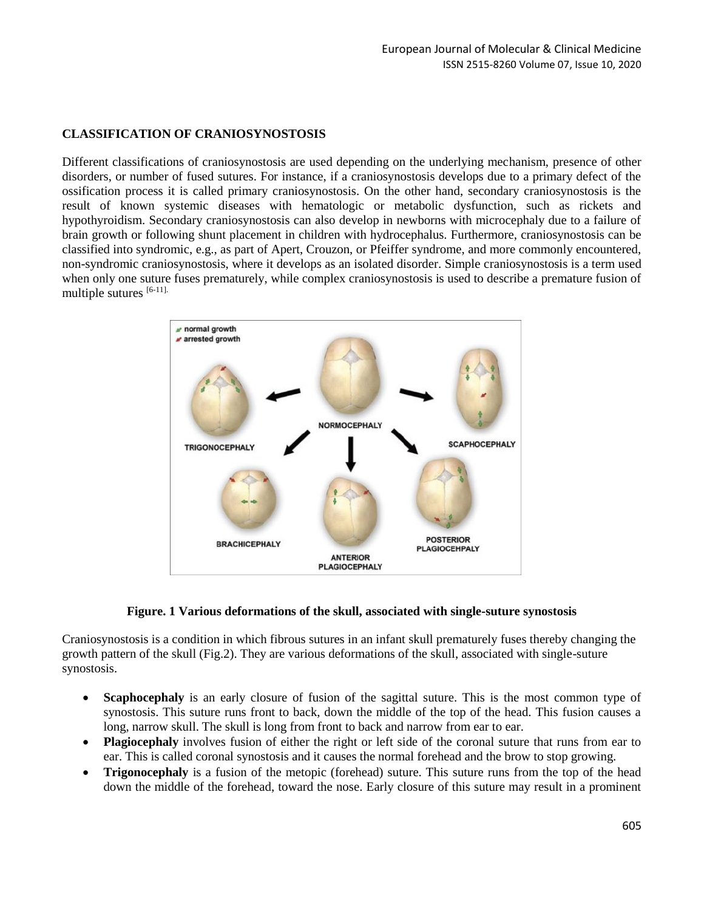# **CLASSIFICATION OF CRANIOSYNOSTOSIS**

Different classifications of craniosynostosis are used depending on the underlying mechanism, presence of other disorders, or number of fused sutures. For instance, if a craniosynostosis develops due to a primary defect of the ossification process it is called primary craniosynostosis. On the other hand, secondary craniosynostosis is the result of known systemic diseases with hematologic or metabolic dysfunction, such as rickets and hypothyroidism. Secondary craniosynostosis can also develop in newborns with microcephaly due to a failure of brain growth or following shunt placement in children with hydrocephalus. Furthermore, craniosynostosis can be classified into syndromic, e.g., as part of Apert, Crouzon, or Pfeiffer syndrome, and more commonly encountered, non-syndromic craniosynostosis, where it develops as an isolated disorder. Simple craniosynostosis is a term used when only one suture fuses prematurely, while complex craniosynostosis is used to describe a premature fusion of multiple sutures  $[6-11]$ .



#### **Figure. 1 Various deformations of the skull, associated with single-suture synostosis**

Craniosynostosis is a condition in which fibrous sutures in an infant skull prematurely fuses thereby changing the growth pattern of the skull (Fig.2). They are various deformations of the skull, associated with single-suture synostosis.

- **Scaphocephaly** is an early closure of fusion of the sagittal suture. This is the most common type of synostosis. This suture runs front to back, down the middle of the top of the head. This fusion causes a long, narrow skull. The skull is long from front to back and narrow from ear to ear.
- **Plagiocephaly** involves fusion of either the right or left side of the coronal suture that runs from ear to ear. This is called coronal synostosis and it causes the normal forehead and the brow to stop growing.
- **Trigonocephaly** is a fusion of the metopic (forehead) suture. This suture runs from the top of the head down the middle of the forehead, toward the nose. Early closure of this suture may result in a prominent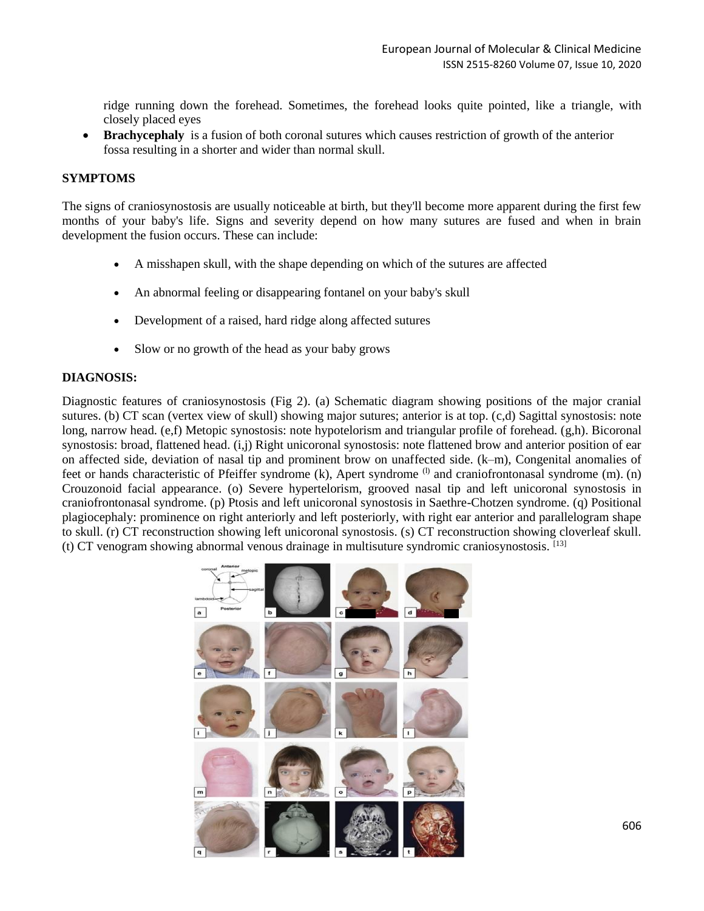ridge running down the forehead. Sometimes, the forehead looks quite pointed, like a triangle, with closely placed eyes

**Brachycephaly** is a fusion of both coronal sutures which causes restriction of growth of the anterior fossa resulting in a shorter and wider than normal skull.

#### **SYMPTOMS**

The signs of craniosynostosis are usually noticeable at birth, but they'll become more apparent during the first few months of your baby's life. Signs and severity depend on how many sutures are fused and when in brain development the fusion occurs. These can include:

- A misshapen skull, with the shape depending on which of the sutures are affected
- An abnormal feeling or disappearing fontanel on your baby's skull
- Development of a raised, hard ridge along affected sutures
- Slow or no growth of the head as your baby grows

#### **DIAGNOSIS:**

Diagnostic features of craniosynostosis (Fig 2). (a) Schematic diagram showing positions of the major cranial sutures. (b) CT scan (vertex view of skull) showing major sutures; anterior is at top. (c,d) Sagittal synostosis: note long, narrow head. (e,f) Metopic synostosis: note hypotelorism and triangular profile of forehead. (g,h). Bicoronal synostosis: broad, flattened head. (i,j) Right unicoronal synostosis: note flattened brow and anterior position of ear on affected side, deviation of nasal tip and prominent brow on unaffected side. (k–m), Congenital anomalies of feet or hands characteristic of Pfeiffer syndrome (k), Apert syndrome <sup>(l)</sup> and craniofrontonasal syndrome (m). (n) Crouzonoid facial appearance. (o) Severe hypertelorism, grooved nasal tip and left unicoronal synostosis in craniofrontonasal syndrome. (p) Ptosis and left unicoronal synostosis in Saethre-Chotzen syndrome. (q) Positional plagiocephaly: prominence on right anteriorly and left posteriorly, with right ear anterior and parallelogram shape to skull. (r) CT reconstruction showing left unicoronal synostosis. (s) CT reconstruction showing cloverleaf skull. (t) CT venogram showing abnormal venous drainage in multisuture syndromic craniosynostosis. [13]

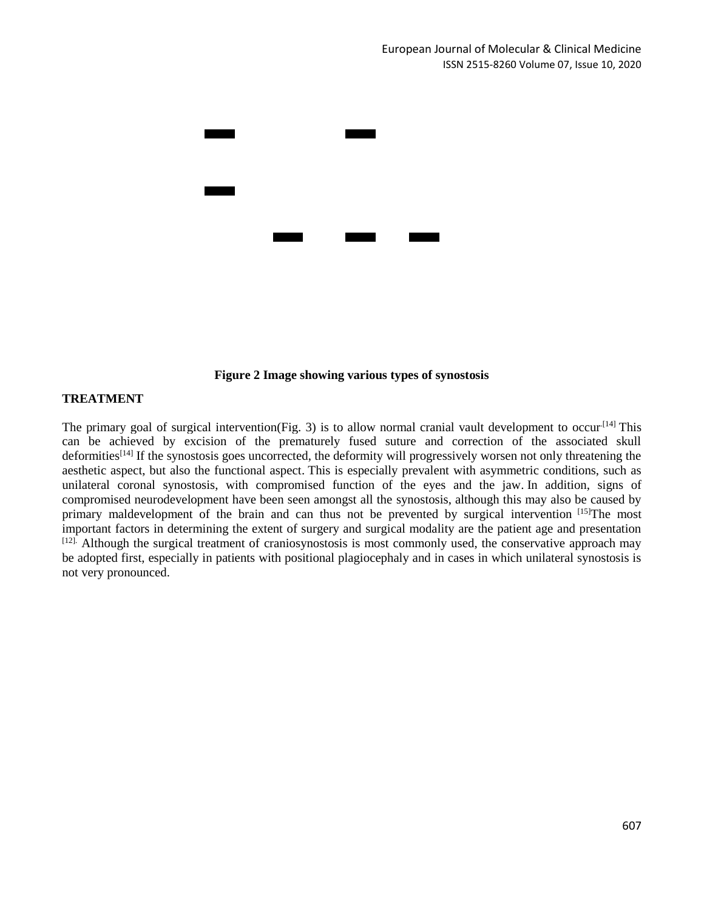

#### **Figure 2 Image showing various types of synostosis**

#### **TREATMENT**

The primary goal of surgical intervention(Fig. 3) is to allow normal cranial vault development to occur<sup>[14]</sup> This can be achieved by excision of the prematurely fused suture and correction of the associated skull deformities<sup>[14]</sup> If the synostosis goes uncorrected, the deformity will progressively worsen not only threatening the aesthetic aspect, but also the functional aspect. This is especially prevalent with asymmetric conditions, such as unilateral coronal synostosis, with compromised function of the eyes and the jaw. In addition, signs of compromised neurodevelopment have been seen amongst all the synostosis, although this may also be caused by primary maldevelopment of the brain and can thus not be prevented by surgical intervention [15] The most important factors in determining the extent of surgery and surgical modality are the patient age and presentation [12]. Although the surgical treatment of craniosynostosis is most commonly used, the conservative approach may be adopted first, especially in patients with positional plagiocephaly and in cases in which unilateral synostosis is not very pronounced.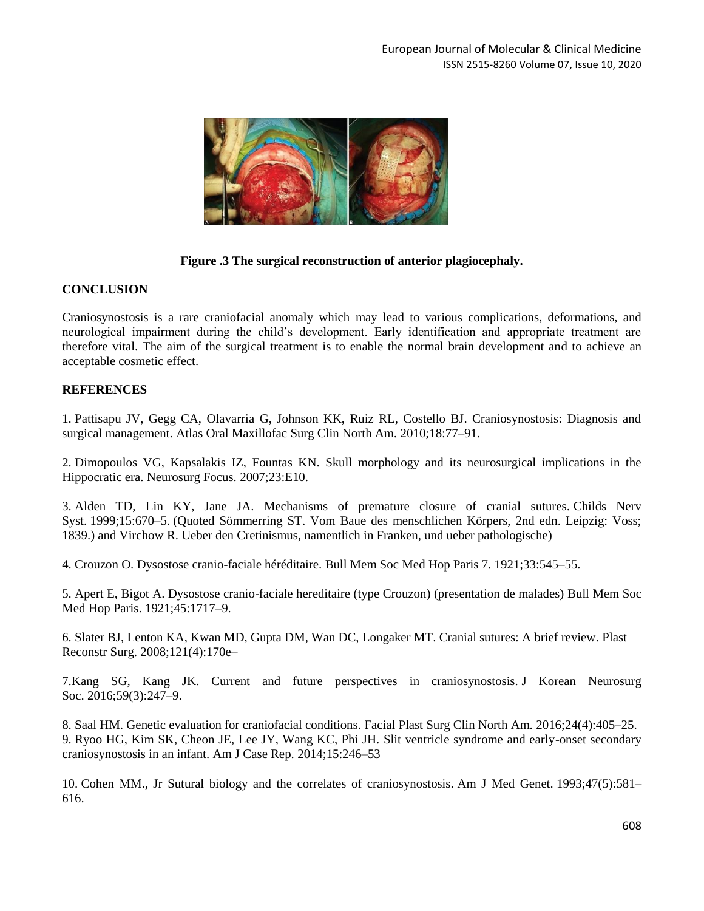

## **Figure .3 The surgical reconstruction of anterior plagiocephaly.**

#### **CONCLUSION**

Craniosynostosis is a rare craniofacial anomaly which may lead to various complications, deformations, and neurological impairment during the child's development. Early identification and appropriate treatment are therefore vital. The aim of the surgical treatment is to enable the normal brain development and to achieve an acceptable cosmetic effect.

## **REFERENCES**

1. Pattisapu JV, Gegg CA, Olavarria G, Johnson KK, Ruiz RL, Costello BJ. Craniosynostosis: Diagnosis and surgical management. Atlas Oral Maxillofac Surg Clin North Am. 2010;18:77–91.

2. Dimopoulos VG, Kapsalakis IZ, Fountas KN. Skull morphology and its neurosurgical implications in the Hippocratic era. Neurosurg Focus. 2007;23:E10.

3. Alden TD, Lin KY, Jane JA. Mechanisms of premature closure of cranial sutures. Childs Nerv Syst. 1999;15:670–5. (Quoted Sömmerring ST. Vom Baue des menschlichen Körpers, 2nd edn. Leipzig: Voss; 1839.) and Virchow R. Ueber den Cretinismus, namentlich in Franken, und ueber pathologische)

4. Crouzon O. Dysostose cranio-faciale héréditaire. Bull Mem Soc Med Hop Paris 7. 1921;33:545–55.

5. Apert E, Bigot A. Dysostose cranio-faciale hereditaire (type Crouzon) (presentation de malades) Bull Mem Soc Med Hop Paris. 1921;45:1717–9.

6. Slater BJ, Lenton KA, Kwan MD, Gupta DM, Wan DC, Longaker MT. Cranial sutures: A brief review. Plast Reconstr Surg. 2008;121(4):170e–

7.Kang SG, Kang JK. Current and future perspectives in craniosynostosis. J Korean Neurosurg Soc. 2016;59(3):247–9.

8. Saal HM. Genetic evaluation for craniofacial conditions. Facial Plast Surg Clin North Am. 2016;24(4):405–25. 9. Ryoo HG, Kim SK, Cheon JE, Lee JY, Wang KC, Phi JH. Slit ventricle syndrome and early-onset secondary craniosynostosis in an infant. Am J Case Rep. 2014;15:246–53

10. Cohen MM., Jr Sutural biology and the correlates of craniosynostosis. Am J Med Genet. 1993;47(5):581– 616.